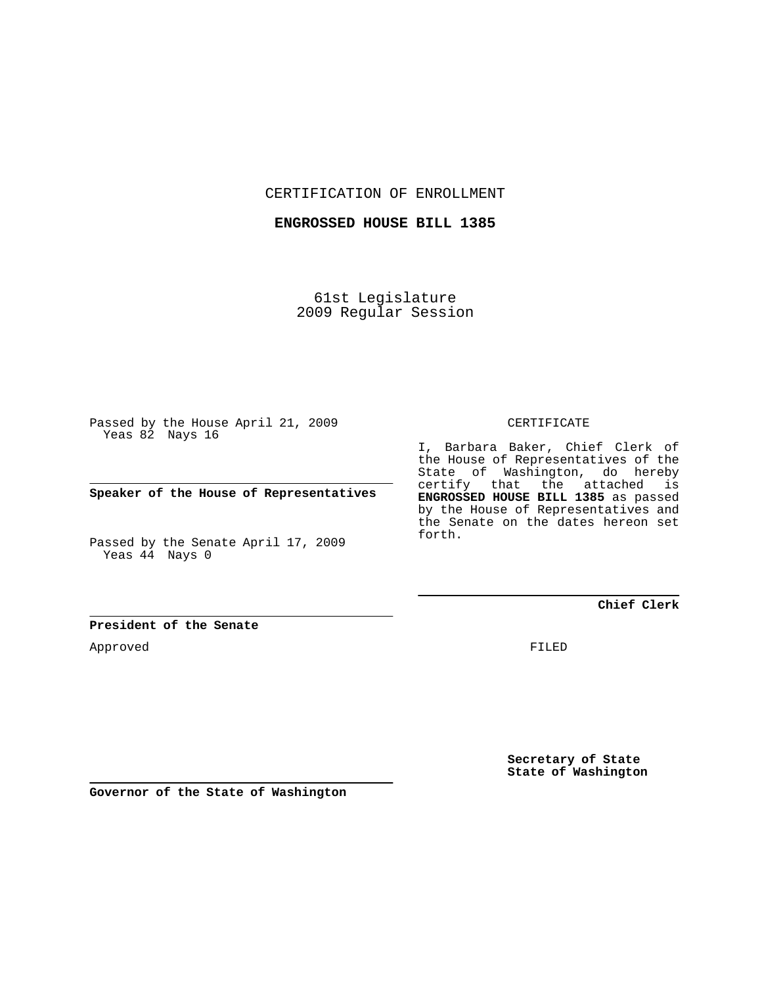CERTIFICATION OF ENROLLMENT

**ENGROSSED HOUSE BILL 1385**

61st Legislature 2009 Regular Session

Passed by the House April 21, 2009 Yeas 82 Nays 16

**Speaker of the House of Representatives**

Passed by the Senate April 17, 2009 Yeas 44 Nays 0

CERTIFICATE

I, Barbara Baker, Chief Clerk of the House of Representatives of the State of Washington, do hereby certify that the attached is **ENGROSSED HOUSE BILL 1385** as passed by the House of Representatives and the Senate on the dates hereon set forth.

**Chief Clerk**

**President of the Senate**

Approved

FILED

**Secretary of State State of Washington**

**Governor of the State of Washington**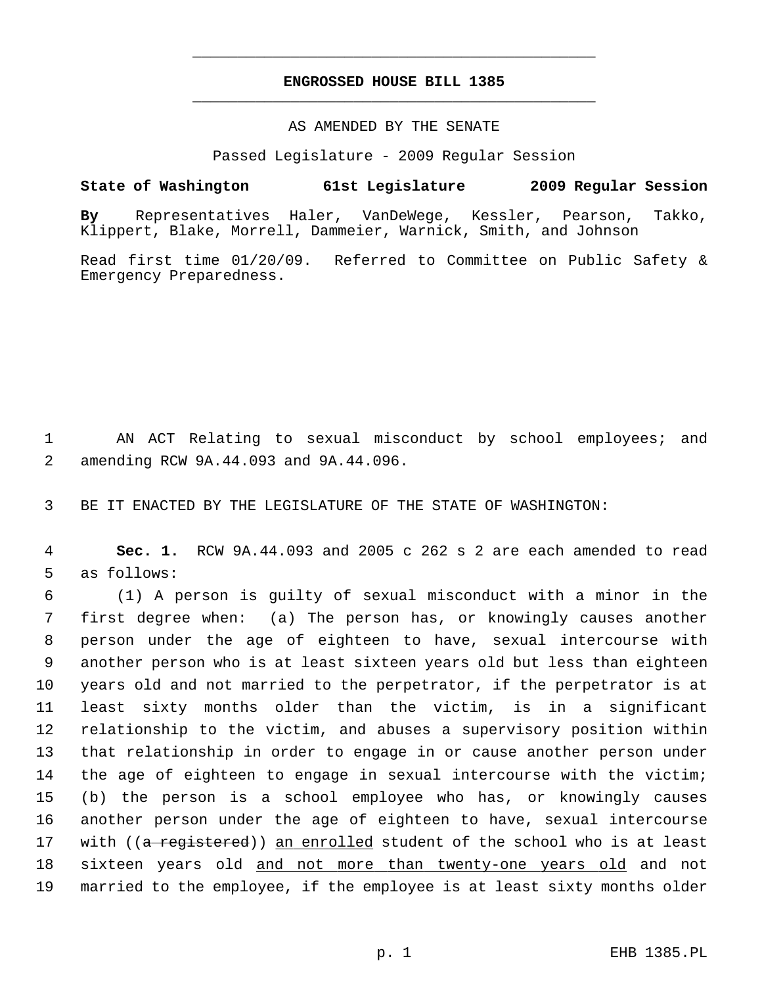## **ENGROSSED HOUSE BILL 1385** \_\_\_\_\_\_\_\_\_\_\_\_\_\_\_\_\_\_\_\_\_\_\_\_\_\_\_\_\_\_\_\_\_\_\_\_\_\_\_\_\_\_\_\_\_

\_\_\_\_\_\_\_\_\_\_\_\_\_\_\_\_\_\_\_\_\_\_\_\_\_\_\_\_\_\_\_\_\_\_\_\_\_\_\_\_\_\_\_\_\_

## AS AMENDED BY THE SENATE

Passed Legislature - 2009 Regular Session

## **State of Washington 61st Legislature 2009 Regular Session**

**By** Representatives Haler, VanDeWege, Kessler, Pearson, Takko, Klippert, Blake, Morrell, Dammeier, Warnick, Smith, and Johnson

Read first time 01/20/09. Referred to Committee on Public Safety & Emergency Preparedness.

 1 AN ACT Relating to sexual misconduct by school employees; and 2 amending RCW 9A.44.093 and 9A.44.096.

3 BE IT ENACTED BY THE LEGISLATURE OF THE STATE OF WASHINGTON:

 4 **Sec. 1.** RCW 9A.44.093 and 2005 c 262 s 2 are each amended to read 5 as follows:

 6 (1) A person is guilty of sexual misconduct with a minor in the 7 first degree when: (a) The person has, or knowingly causes another 8 person under the age of eighteen to have, sexual intercourse with 9 another person who is at least sixteen years old but less than eighteen 10 years old and not married to the perpetrator, if the perpetrator is at 11 least sixty months older than the victim, is in a significant 12 relationship to the victim, and abuses a supervisory position within 13 that relationship in order to engage in or cause another person under 14 the age of eighteen to engage in sexual intercourse with the victim; 15 (b) the person is a school employee who has, or knowingly causes 16 another person under the age of eighteen to have, sexual intercourse 17 with ((a registered)) an enrolled student of the school who is at least 18 sixteen years old and not more than twenty-one years old and not 19 married to the employee, if the employee is at least sixty months older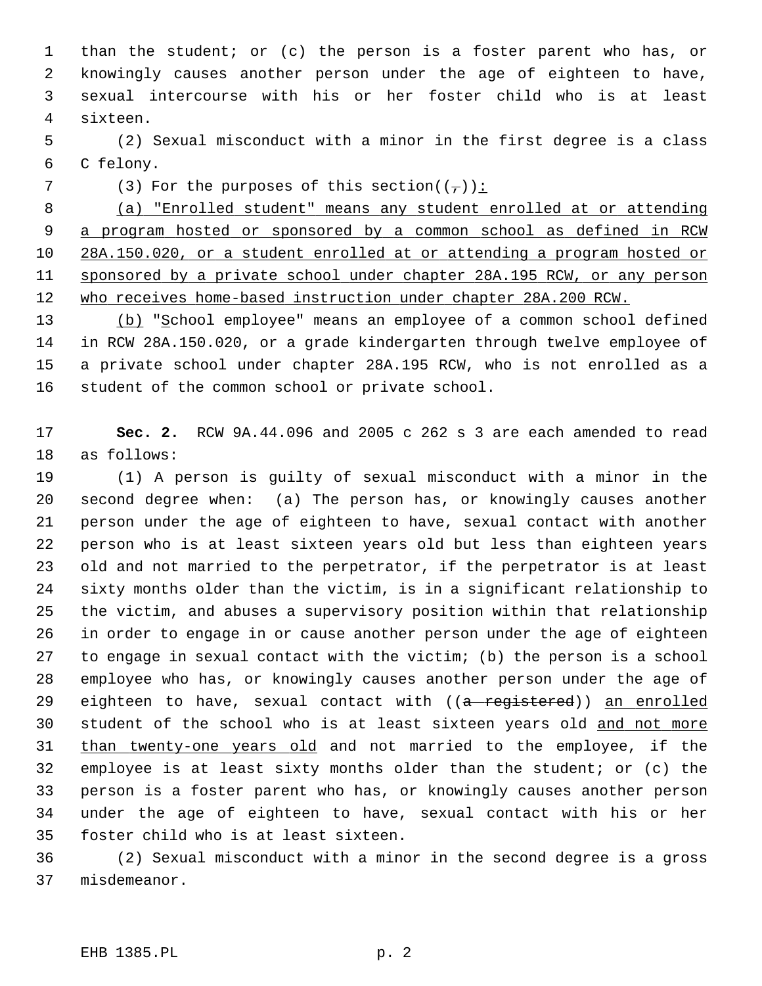1 than the student; or (c) the person is a foster parent who has, or 2 knowingly causes another person under the age of eighteen to have, 3 sexual intercourse with his or her foster child who is at least 4 sixteen.

 5 (2) Sexual misconduct with a minor in the first degree is a class 6 C felony.

7 (3) For the purposes of this section( $(-)$ ):

 (a) "Enrolled student" means any student enrolled at or attending a program hosted or sponsored by a common school as defined in RCW 28A.150.020, or a student enrolled at or attending a program hosted or sponsored by a private school under chapter 28A.195 RCW, or any person who receives home-based instruction under chapter 28A.200 RCW.

13 (b) "School employee" means an employee of a common school defined 14 in RCW 28A.150.020, or a grade kindergarten through twelve employee of 15 a private school under chapter 28A.195 RCW, who is not enrolled as a 16 student of the common school or private school.

17 **Sec. 2.** RCW 9A.44.096 and 2005 c 262 s 3 are each amended to read 18 as follows:

19 (1) A person is guilty of sexual misconduct with a minor in the 20 second degree when: (a) The person has, or knowingly causes another 21 person under the age of eighteen to have, sexual contact with another 22 person who is at least sixteen years old but less than eighteen years 23 old and not married to the perpetrator, if the perpetrator is at least 24 sixty months older than the victim, is in a significant relationship to 25 the victim, and abuses a supervisory position within that relationship 26 in order to engage in or cause another person under the age of eighteen 27 to engage in sexual contact with the victim; (b) the person is a school 28 employee who has, or knowingly causes another person under the age of 29 eighteen to have, sexual contact with ((a registered)) an enrolled 30 student of the school who is at least sixteen years old and not more 31 than twenty-one years old and not married to the employee, if the 32 employee is at least sixty months older than the student; or (c) the 33 person is a foster parent who has, or knowingly causes another person 34 under the age of eighteen to have, sexual contact with his or her 35 foster child who is at least sixteen.

36 (2) Sexual misconduct with a minor in the second degree is a gross 37 misdemeanor.